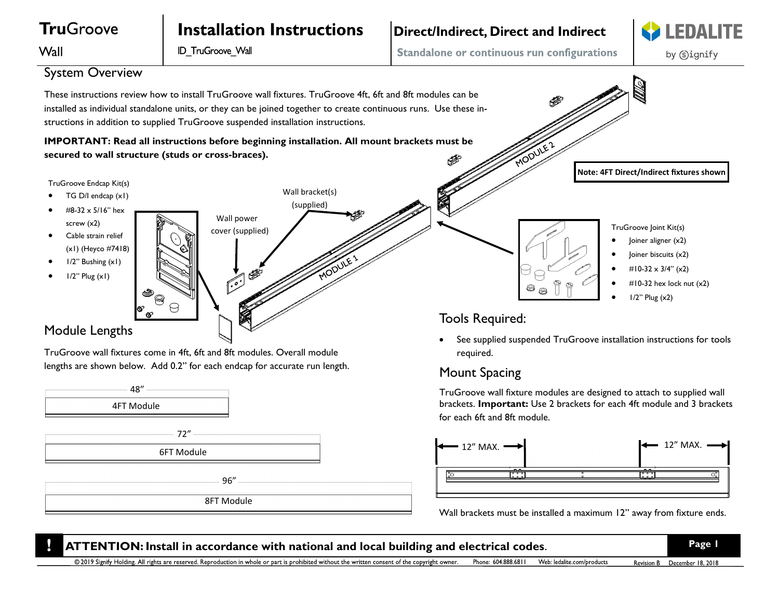

72" 6FT Module

96"

8FT Module

for each 6ft and 8ft module.



Wall brackets must be installed a maximum 12" away from fixture ends.

**ATTENTION:** Install in accordance with national and local building and electrical codes. **Page 1** © 2019 Signify Holding. All rights are reserved. Reproduction in whole or part is prohibited without the written consent of the copyright owner. Phone: 604.888.6811 Web: ledalite.com/products Revision B December 18, 2018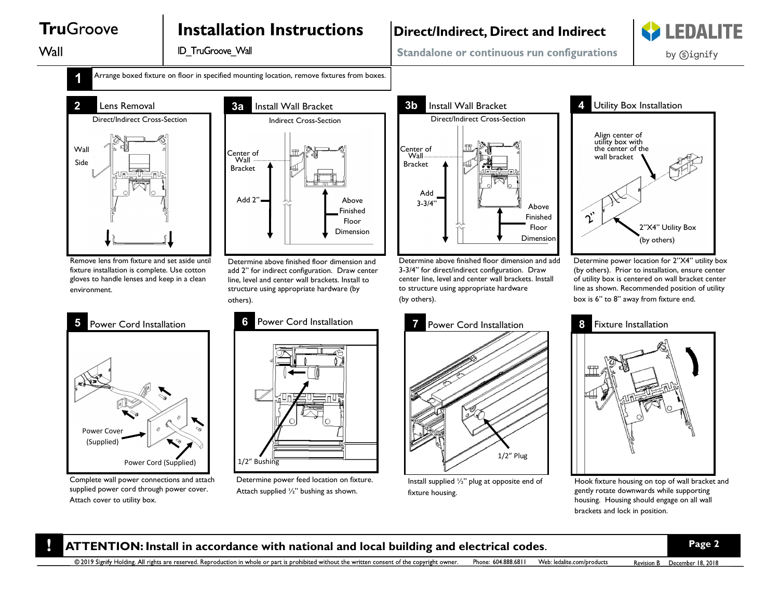# **TruGroove**

# **Installation Instructions**

Wall

**ID TruGroove Wall** 

## **Direct/Indirect, Direct and Indirect**



Standalone or continuous run configurations

by Signify



**Arrange boxed fixture on floor in specified mounting location, remove fixtures from boxes.** 



Remove lens from fixture and set aside until fixture installation is complete. Use cotton gloves to handle lenses and keep in a clean environment.



Complete wall power connections and attach supplied power cord through power cover. Attach cover to utility box.



Determine above finished floor dimension and add 2" for indirect configuration. Draw center line, level and center wall brackets. Install to structure using appropriate hardware (by others).



Determine power feed location on fixture. Attach supplied ½" bushing as shown.



Determine above finished floor dimension and add 3-3/4" for direct/indirect configuration. Draw center line, level and center wall brackets. Install to structure using appropriate hardware (by others).



Determine power location for 2"X4" utility box (by others). Prior to installation, ensure center of utility box is centered on wall bracket center line as shown. Recommended position of utility box is 6" to 8" away from fixture end.



Install supplied ½" plug at opposite end of fixture housing.



Hook fixture housing on top of wall bracket and gently rotate downwards while supporting housing. Housing should engage on all wall brackets and lock in position.

#### **ATTENTION:** Install in accordance with national and local building and electrical codes. **Page 2**

@ 2019 Signify Holding. All rights are reserved. Reproduction in whole or part is prohibited without the written consent of the copyright owner. Phone: 604.888.6811 Web: ledalite.com/products Revision B December 18, 2018